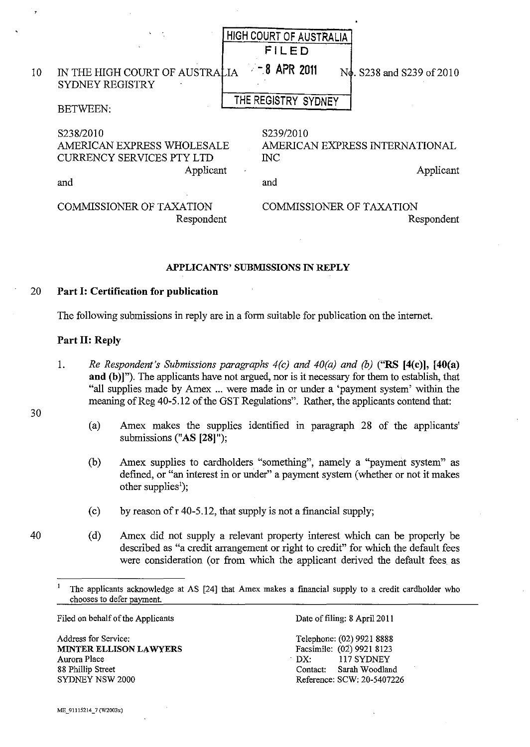|    |                                                                                                 | HIGH COURT OF AUSTRALIA<br>FILED                                                 |
|----|-------------------------------------------------------------------------------------------------|----------------------------------------------------------------------------------|
| 10 | IN THE HIGH COURT OF AUSTRALIA<br>SYDNEY REGISTRY                                               | $= 8$ APR 2011<br>N <sub>g</sub> , S <sub>238</sub> and S <sub>239</sub> of 2010 |
|    | <b>BETWEEN:</b>                                                                                 | THE REGISTRY SYDNEY                                                              |
|    | S238/2010<br>AMERICAN EXPRESS WHOLESALE<br><b>CURRENCY SERVICES PTY LTD</b><br>Applicant<br>and | S239/2010<br>AMERICAN EXPRESS INTERNATIONAL<br>$\rm{INC}$<br>Applicant<br>and    |
|    | <b>COMMISSIONER OF TAXATION</b><br>Respondent                                                   | <b>COMMISSIONER OF TAXATION</b><br>Respondent                                    |

## APPLICANTS' SUBMISSIONS IN REPLY

## 20 Part I: Certification for publication

The following submissions in reply are in a form suitable for publication on the internet.

## Part II: Reply

- 1. *Re Respondent's Submissions paragraphs 4(c) and 40(a) and (b)* ("RS [4(c)], [40(a) and (b)]"). The applicants have not argued, nor is it necessary for them to establish, that "all supplies made by Amex ... were made in or under a 'payment system' within the meaning of Reg 40-5.12 of the GST Regulations". Rather, the applicants contend that:
	- (a) Amex makes the supplies identified in paragraph 28 of the applicants' submissions ("AS [28]");
	- (b) Amex supplies to cardholders "something", namely a "payment system" as defined, or "an interest in or under" a payment system (whether or not it makes other supplies');
	- (c) by reason of  $r$  40-5.12, that supply is not a financial supply;
	- (d) Amex did not supply a relevant property interest which can be properly be described as "a credit arrangement or right to credit" for which the default fees were consideration (or from which the applicant derived the default fees as

Filed on hehalf of the Applicants

Address for Service: MINTER ELLISON LAWYERS Aurora Place 88 Phillip Street SYDNEY NSW 2000

Date of filing: 8 April 2011

Telephone: (02) 9921 8888 Facsimile: (02) 9921 8123 DX: 117 SYDNEY Contact: Sarah Woodland Reference: SCW: 20-5407226

30

The applicants acknowledge at AS [24] that Amex makes a financial supply to a credit cardholder who chooses to defer payment.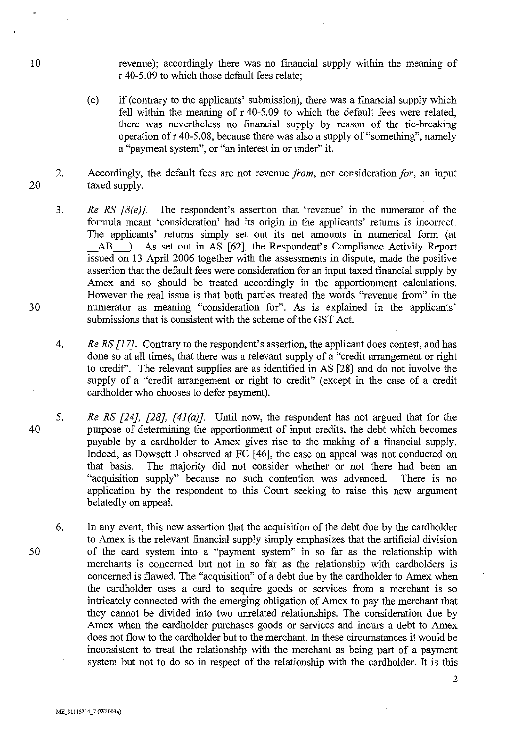revenue); accordingly there was no fmancial supply within the meaning of r 40-5.09 to which those default fees relate;

- (e) if (contrary to the applicants' submission), there was a fmancial supply which fell within the meaning of r 40-5.09 to which the default fees were related, there was nevertheless no financial supply by reason of the tie-breaking operation ofr 40-5.08, because there was also a supply of "something", namely a "payment system", or "an interest in or under" it.
- 20 2. Accordingly, the default fees are not revenue *from,* nor consideration *for,* an input taxed supply.
	- 3. *Re RS [8(e)]*. The respondent's assertion that 'revenue' in the numerator of the formula meant 'consideration' had its origin in the applicants' returns is incorrect. The applicants' returns simply set out its net amounts in numerical form (at AB -... As set out in AS [62], the Respondent's Compliance Activity Report issued on 13 April 2006 together with the assessments in dispute, made the positive assertion that the default fees were consideration for an input taxed financial supply by Amex and so should be treated accordingly in the apportionment calculations. However the real issue is that both parties treated the words "revenue from" in the numerator as meaning "consideration for". As is explained in the applicants' submissions that is consistent with the scheme of the GST Act.
	- *4. Re RS* [17]. Contrary to the respondent's assertion, the applicant does contest, and has done so at all times, that there was a relevant supply of a "credit arrangement or right to credit". The relevant supplies are as identified in AS [28] and do not involve the supply of a "credit arrangement or right to credit" (except in the case of a credit cardholder who chooses to defer payment).
- 40 5. *Re RS [24J, [28J, [41(a)].* Until now, the respondent has not argued that for the purpose of determining the apportionment of input credits, the debt which becomes payable by a cardholder to Amex gives rise to the making of a fmancial supply. Indeed, as Dowsett J observed at FC [46], the case on appeal was not conducted on that basis. The majority did not consider whether or not there had been an "acquisition supply" because no such contention was advanced. There is no application by the respondent to this Court seeking to raise this new argument belatedly on appeal.
	- 6. In any event, this new assertion that the acquisition of the debt due by the cardholder to Amex is the relevant financial supply simply emphasizes that the artificial division of the card system into a "payment system" in so far as the relationship with merchants is concerned but not in so far as the relationship with cardholders is concerned is flawed. The "acquisition" of a debt due by the cardholder to Amex when the cardholder uses a card to acquire goods or services from a merchant is so intricately connected with the emerging obligation of Amex to pay the merchant that they cannot be divided into two unrelated relationships. The consideration due by Amex when the cardholder purchases goods or services and incurs a debt to Amex does not flow to the cardholder but to the merchant. In these circumstances it would be inconsistent to treat the relationship with the merchant as being part of a payment system but not to do so in respect of the relationship with the cardholder. It is this

10

30

50

**ME\_91115214\_7 (W2003x)**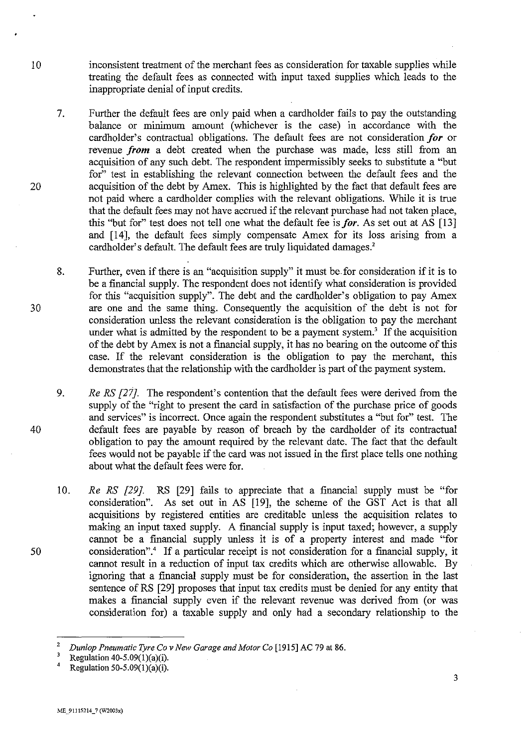- inconsistent treatment of the merchant fees as consideration for taxable supplies while treating the default fees as connected with input taxed supplies which leads to the inappropriate denial of input credits.
	- 7. Further the default fees are only paid when a cardholder fails to pay the outstanding balance or minimum amount (whichever is the case) in accordance with the cardholder's contractual obligations. The default fees are not consideration *for* or revenue *from* a debt created when the purchase was made, less still from an acquisition of any such debt. The respondent impermissibly seeks to substitute a "but for" test in establishing the relevant connection between the default fees and the acquisition of the debt by Amex. This is highlighted by the fact that default fees are not paid where a cardholder complies with the relevant obligations. While it is true that the default fees may not have accrued if the relevant purchase had not taken place, this "but for" test does not tell one what the default fee is *for*. As set out at AS [13] and [14], the default fees simply compensate Amex for its loss arising from a cardholder's default. The default fees are truly liquidated damages.'
	- 8. Further, even if there is an "acquisition supply" it must be for consideration if it is to be a financial supply. The respondent does not identify what consideration is provided for this "acquisition supply". The debt and the cardholder's obligation to pay Amex are one and the same thing. Consequently the acquisition of the debt is not for consideration unless the relevant consideration is the obligation to pay the merchant under what is admitted by the respondent to be a payment system.<sup>3</sup> If the acquisition of the debt by Amex is not a financial supply, it has no bearing on the outcome of this case. If the relevant consideration is the obligation to pay the merchant, this demonstrates that the relationship with the cardholder is part of the payment system.
	- 9. *Re RS [27]*. The respondent's contention that the default fees were derived from the supply of the "right to present the card in satisfaction of the purchase price of goods and services" is incorrect. Once again the respondent substitutes a "but for" test. The default fees are payable by reason of breach by the cardholder of its contractual obligation to pay the amount required by the relevant date. The fact that the default fees would not be payable if the card was not issued in the first place tells one nothing about what the default fees were for.
	- 10. *Re RS* [29]. RS [29] fails to appreciate that a financial supply must be "for consideration". As set out in AS [19], the scheme of the GST Act is that all acquisitions by registered entities are creditable unless the acquisition relates to making an input taxed supply. A financial supply is input taxed; however, a supply cannot be a fmancial supply unless it is of a property interest and made "for consideration".<sup>4</sup> If a particular receipt is not consideration for a financial supply, it cannot result in a reduction of input tax credits which are otherwise allowable. By ignoring that a financial supply must be for consideration, the assertion in the last sentence of RS [29] proposes that input tax credits must be denied for any entity that makes a fmancial supply even if the relevant revenue was derived from (or was consideration for) a taxable supply and only had a secondary relationship to the

ME\_91115214\_7 (W2003x)

10

20

30

40

50

<sup>&</sup>lt;sup>2</sup> Dunlop Pneumatic Tyre Co v New Garage and Motor Co [1915] AC 79 at 86.

<sup>&</sup>lt;sup>3</sup> Regulation 40-5.09(1)(a)(i).<br><sup>4</sup> Pregulation 50.5.00(1)(s)(i).

Regulation 50-5.09 $(1)(a)(i)$ .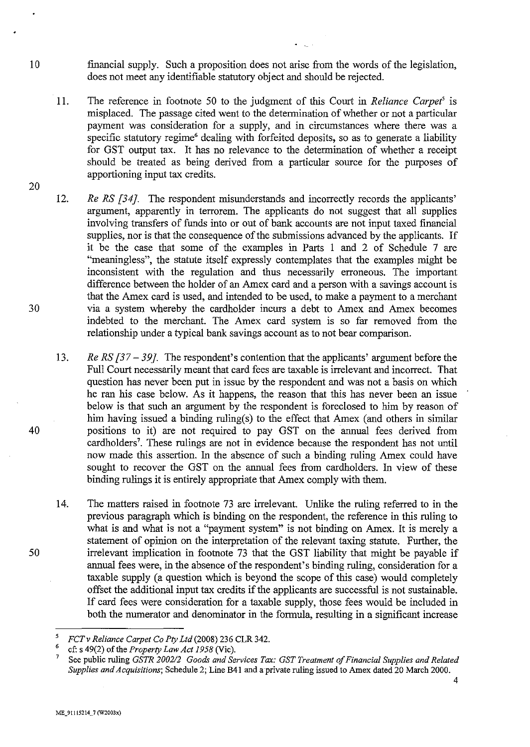- fmancia1 supply. Such a proposition does not arise from the words of the legislation, does not meet any identifiable statutory object and should be rejected.
- 11. The reference in footnote 50 to the judgment of this Court in *Reliance Carpet'* is misplaced. The passage cited went to the determination of whether or not a particular payment was consideration for a supply, and in circumstances where there was a specific statutory regime<sup>6</sup> dealing with forfeited deposits, so as to generate a liability for GST output tax. It has no relevance to the determination of whether a receipt should be treated as being derived from a particular source for the purposes of apportioning input tax credits.
- 12. *Re RS [34]*. The respondent misunderstands and incorrectly records the applicants' argument, apparently in terrorem. The applicants do not suggest that all supplies involving transfers of funds into or out of bank accounts are not input taxed financial supplies, nor is that the consequence of the submissions advanced by the applicants. If it be the case that some of the examples in Parts I and 2 of Schedule 7 are "meaningless", the statute itself expressly contemplates that the examples might be inconsistent with the regulation and thus necessarily erroneous. The important difference between the holder of an Amex card and a person with a savings account is that the Amex card is used, and intended to be used, to make a payment to a merchant via a system whereby the cardholder incurs a debt to Amex and Amex becomes indebted to the merchant. The Amex card system is so far removed from the relationship under a typical bank savings account as to not bear comparison.
	- 13. *Re RS [37 – 39]*. The respondent's contention that the applicants' argument before the Full Court necessarily meant that card fees are taxable is irrelevant and incorrect. That question has never been put in issue by the respondent and was not a basis on which he ran his case below. As it happens, the reason that this has never been an issue below is that such an argument by the respondent is foreclosed to him by reason of him having issued a binding ruling(s) to the effect that Amex (and others in similar positions to it) are not required to pay GST on the annual fees derived from cardholders<sup>7</sup>. These rulings are not in evidence because the respondent has not until now made this assertion. In the absence of such a binding ruling Amex could have sought to recover the GST on the annual fees from cardholders. In view of these binding rulings it is entirely appropriate that Amex comply with them.
	- 14. The matters raised in footnote 73 are irrelevant. Unlike the ruling referred to in the previous paragraph which is binding on the respondent, the reference in this ruling to what is and what is not a "payment system" is not binding on Amex. It is merely a statement of opinion on the interpretation of the relevant taxing statute. Further, the irrelevant implication in footnote 73 that the GST liability that might be payable if annual fees were, in the absence of the respondent's binding ruling, consideration for a taxable supply (a question which is beyond the scope of this case) would completely offset the additional input tax credits if the applicants are successful is not sustainable. If card fees were consideration for a taxable supply, those fees would be included in both the numerator and denominator in the formula, resulting in a significant increase

30

10

20

40

<sup>&</sup>lt;sup>5</sup>  $FCTv$  *Reliance Carpet Co Pty Ltd* (2008) 236 CLR 342.

<sup>&</sup>lt;sup>6</sup> cf: s 49(2) of the *Property Law Act 1958* (Vic).

<sup>7</sup> See public ruling *GSTR 200212 Goods and Services Tax: GST Treatment of Financial Supplies and Related Supplies and Acquisitions;* Schedule 2; Line B41 and a private ruling issued to Amex dated 20 March 2000. 4